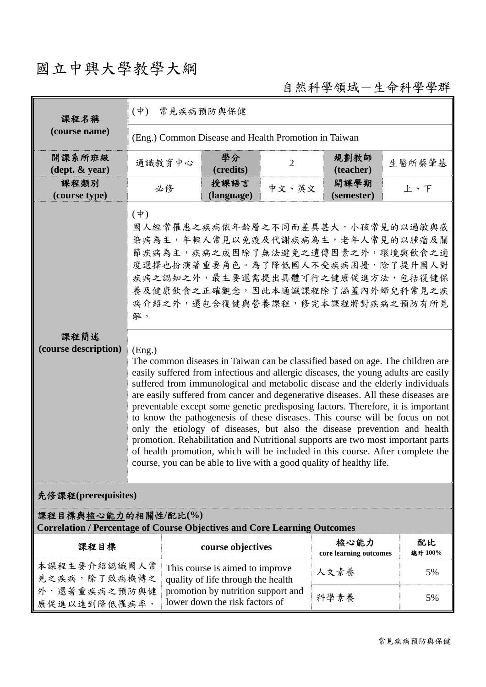# 國立中興大學教學大綱

自然科學領域-生命科學學群

| 課程名稱                                                                                                   | $(\phi)$<br>常見疾病預防與保健                                                                                                                                                                                                                                                                                                                                                                                                                                                                                                                                                                                                                                                                                                                                                                                                                                                                                                                                                                                                                                                                                                                  |                                                                                                                                               |                |                                |               |
|--------------------------------------------------------------------------------------------------------|----------------------------------------------------------------------------------------------------------------------------------------------------------------------------------------------------------------------------------------------------------------------------------------------------------------------------------------------------------------------------------------------------------------------------------------------------------------------------------------------------------------------------------------------------------------------------------------------------------------------------------------------------------------------------------------------------------------------------------------------------------------------------------------------------------------------------------------------------------------------------------------------------------------------------------------------------------------------------------------------------------------------------------------------------------------------------------------------------------------------------------------|-----------------------------------------------------------------------------------------------------------------------------------------------|----------------|--------------------------------|---------------|
| (course name)                                                                                          | (Eng.) Common Disease and Health Promotion in Taiwan                                                                                                                                                                                                                                                                                                                                                                                                                                                                                                                                                                                                                                                                                                                                                                                                                                                                                                                                                                                                                                                                                   |                                                                                                                                               |                |                                |               |
| 開課系所班級<br>$(\text{dept.} \& \text{ year})$                                                             | 通識教育中心                                                                                                                                                                                                                                                                                                                                                                                                                                                                                                                                                                                                                                                                                                                                                                                                                                                                                                                                                                                                                                                                                                                                 | 學分<br>(credits)                                                                                                                               | $\overline{2}$ | 規劃教師<br>(teacher)              | 生醫所蔡肇基        |
| 課程類別<br>(course type)                                                                                  | 必修                                                                                                                                                                                                                                                                                                                                                                                                                                                                                                                                                                                                                                                                                                                                                                                                                                                                                                                                                                                                                                                                                                                                     | 授課語言<br>(language)                                                                                                                            | 中文、英文          | 開課學期<br>(semester)             | 上、下           |
| 課程簡述<br>(course description)                                                                           | $(\dot{\Psi})$<br>國人經常罹患之疾病依年齡層之不同而差異甚大,小孩常見的以過敏與感<br>染病為主,年輕人常見以免疫及代謝疾病為主,老年人常見的以腫瘤及關<br>節疾病為主,疾病之成因除了無法避免之遺傳因素之外,環境與飲食之適<br>度選擇也扮演著重要角色。為了降低國人不受疾病困擾,除了提升國人對<br>疾病之認知之外,最主要還需提出具體可行之健康促進方法,包括復健保<br>養及健康飲食之正確觀念,因此本通識課程除了涵蓋內外婦兒科常見之疾<br>病介紹之外,還包含復健與營養課程,修完本課程將對疾病之預防有所見<br>解。<br>(Eng.)<br>The common diseases in Taiwan can be classified based on age. The children are<br>easily suffered from infectious and allergic diseases, the young adults are easily<br>suffered from immunological and metabolic disease and the elderly individuals<br>are easily suffered from cancer and degenerative diseases. All these diseases are<br>preventable except some genetic predisposing factors. Therefore, it is important<br>to know the pathogenesis of these diseases. This course will be focus on not<br>only the etiology of diseases, but also the disease prevention and health<br>promotion. Rehabilitation and Nutritional supports are two most important parts<br>of health promotion, which will be included in this course. After complete the<br>course, you can be able to live with a good quality of healthy life. |                                                                                                                                               |                |                                |               |
| 先修課程(prerequisites)                                                                                    |                                                                                                                                                                                                                                                                                                                                                                                                                                                                                                                                                                                                                                                                                                                                                                                                                                                                                                                                                                                                                                                                                                                                        |                                                                                                                                               |                |                                |               |
| 課程目標與核心能力的相關性/配比(%)<br><b>Correlation / Percentage of Course Objectives and Core Learning Outcomes</b> |                                                                                                                                                                                                                                                                                                                                                                                                                                                                                                                                                                                                                                                                                                                                                                                                                                                                                                                                                                                                                                                                                                                                        |                                                                                                                                               |                |                                |               |
| 課程目標                                                                                                   |                                                                                                                                                                                                                                                                                                                                                                                                                                                                                                                                                                                                                                                                                                                                                                                                                                                                                                                                                                                                                                                                                                                                        | course objectives                                                                                                                             |                | 核心能力<br>core learning outcomes | 配比<br>總計 100% |
| 本課程主要介紹認識國人常<br>見之疾病,除了致病機轉之                                                                           |                                                                                                                                                                                                                                                                                                                                                                                                                                                                                                                                                                                                                                                                                                                                                                                                                                                                                                                                                                                                                                                                                                                                        | This course is aimed to improve<br>quality of life through the health<br>promotion by nutrition support and<br>lower down the risk factors of |                | 人文素養                           | 5%            |
| 外,還著重疾病之預防與健<br>康促進以達到降低罹病率,                                                                           |                                                                                                                                                                                                                                                                                                                                                                                                                                                                                                                                                                                                                                                                                                                                                                                                                                                                                                                                                                                                                                                                                                                                        |                                                                                                                                               |                | 科學素養                           | 5%            |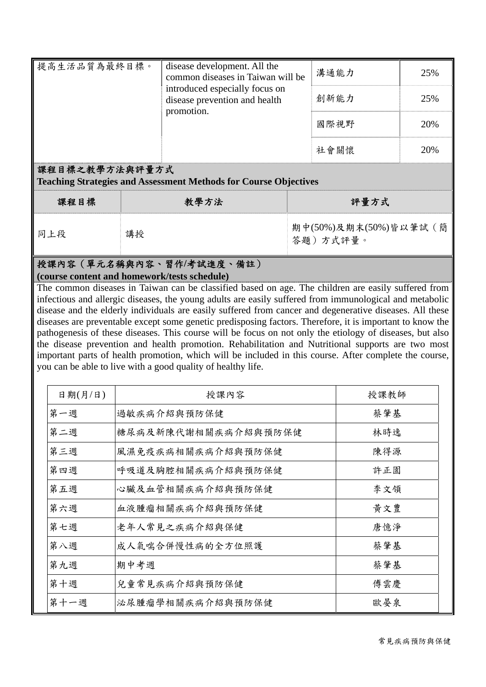| 提高生活品質為最終目標。 | disease development. All the<br>common diseases in Taiwan will be<br>introduced especially focus on<br>disease prevention and health<br>promotion. | 溝通能力 | 25% |
|--------------|----------------------------------------------------------------------------------------------------------------------------------------------------|------|-----|
|              |                                                                                                                                                    | 創新能力 | 25% |
|              |                                                                                                                                                    | 國際視野 | 20% |
|              |                                                                                                                                                    | 社會關懷 | 20% |

#### 課程目標之教學方法與評量方式

**Teaching Strategies and Assessment Methods for Course Objectives**

| 課程目標 | 教學方法 | 評量方式                              |
|------|------|-----------------------------------|
| 同上段  | 講授   | 期中(50%)及期末(50%)皆以筆試(簡<br>答題)方式評量。 |

#### 授課內容(單元名稱與內容、習作**/**考試進度、備註) **(course content and homework/tests schedule)**

The common diseases in Taiwan can be classified based on age. The children are easily suffered from infectious and allergic diseases, the young adults are easily suffered from immunological and metabolic disease and the elderly individuals are easily suffered from cancer and degenerative diseases. All these diseases are preventable except some genetic predisposing factors. Therefore, it is important to know the pathogenesis of these diseases. This course will be focus on not only the etiology of diseases, but also the disease prevention and health promotion. Rehabilitation and Nutritional supports are two most important parts of health promotion, which will be included in this course. After complete the course, you can be able to live with a good quality of healthy life.

| 日期(月/日) | 授課內容                | 授課教師 |
|---------|---------------------|------|
| 第一週     | 過敏疾病介紹與預防保健         | 蔡肇基  |
| 第二週     | 糖尿病及新陳代謝相關疾病介紹與預防保健 | 林時逸  |
| 第三週     | 風濕免疫疾病相關疾病介紹與預防保健   | 陳得源  |
| 第四週     | 呼吸道及胸腔相關疾病介紹與預防保健   | 許正園  |
| 第五週     | 心臟及血管相關疾病介紹與預防保健    | 李文領  |
| 第六週     | 血液腫瘤相關疾病介紹與預防保健     | 黄文豊  |
| 第七週     | 老年人常見之疾病介紹與保健       | 唐憶淨  |
| 第八週     | 成人氣喘合併慢性病的全方位照護     | 蔡肇基  |
| 第九週     | 期中考週                | 蔡肇基  |
| 第十週     | 兒童常見疾病介紹與預防保健       | 傅雲慶  |
| 第十一週    | 泌尿腫瘤學相關疾病介紹與預防保健    | 歐晏泉  |